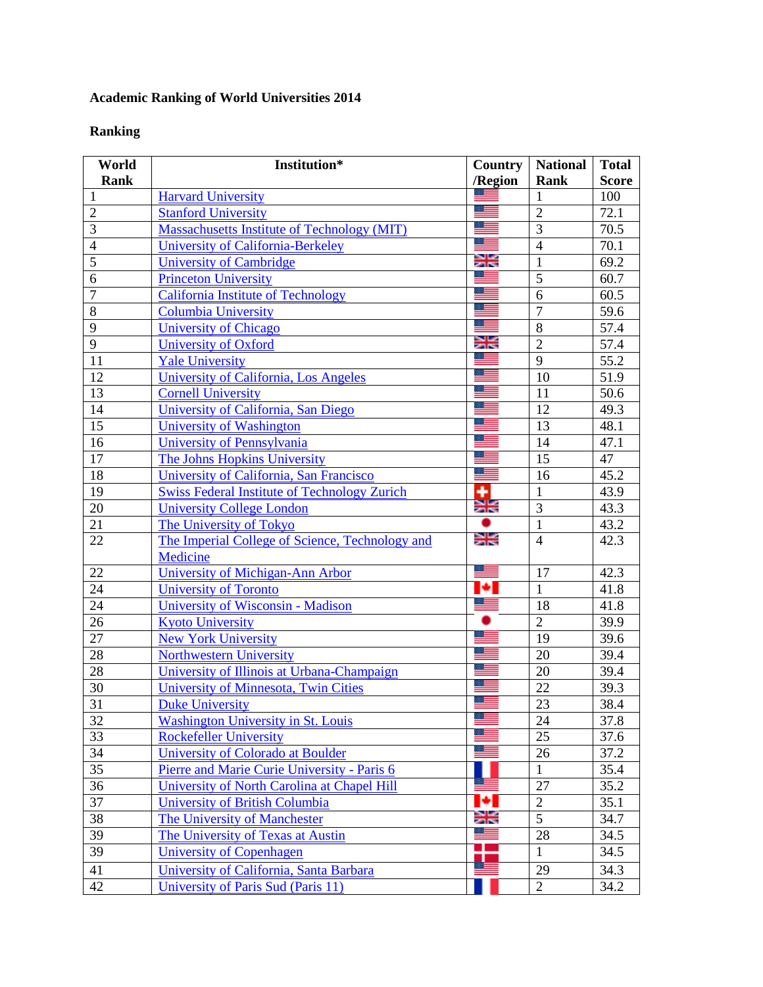## **Academic Ranking of World Universities 2014**

## **Ranking**

| World          | Institution*                                        | <b>Country</b> | <b>National</b> | <b>Total</b> |
|----------------|-----------------------------------------------------|----------------|-----------------|--------------|
| <b>Rank</b>    |                                                     | /Region        | <b>Rank</b>     | <b>Score</b> |
| 1              | <b>Harvard University</b>                           |                | 1               | 100          |
| $\overline{2}$ | <b>Stanford University</b>                          |                | $\overline{2}$  | 72.1         |
| $\overline{3}$ | <b>Massachusetts Institute of Technology (MIT)</b>  | 88             | $\overline{3}$  | 70.5         |
| $\overline{4}$ | University of California-Berkeley                   |                | $\overline{4}$  | 70.1         |
| $\overline{5}$ | <b>University of Cambridge</b>                      | Ж              | $\mathbf{1}$    | 69.2         |
| 6              | <b>Princeton University</b>                         |                | $\overline{5}$  | 60.7         |
| $\overline{7}$ | <b>California Institute of Technology</b>           | ॱ              | 6               | 60.5         |
| 8              | <b>Columbia University</b>                          |                | $\overline{7}$  | 59.6         |
| 9              | <b>University of Chicago</b>                        | <u> =</u>      | $\overline{8}$  | 57.4         |
| 9              | <b>University of Oxford</b>                         | Ж              | $\overline{2}$  | 57.4         |
| 11             | <b>Yale University</b>                              | ≋≡             | 9               | 55.2         |
| 12             | University of California, Los Angeles               |                | 10              | 51.9         |
| 13             | <b>Cornell University</b>                           |                | 11              | 50.6         |
| 14             | University of California, San Diego                 | - 11           | 12              | 49.3         |
| 15             | University of Washington                            |                | 13              | 48.1         |
| 16             | University of Pennsylvania                          | <u>s in</u>    | 14              | 47.1         |
| 17             | The Johns Hopkins University                        |                | 15              | 47           |
| 18             | University of California, San Francisco             | ≔              | 16              | 45.2         |
| 19             | <b>Swiss Federal Institute of Technology Zurich</b> | $\frac{1}{2}$  | $\overline{1}$  | 43.9         |
| 20             | <b>University College London</b>                    |                | $\overline{3}$  | 43.3         |
| 21             | The University of Tokyo                             |                | $\mathbf{1}$    | 43.2         |
| 22             | The Imperial College of Science, Technology and     | Ж              | $\overline{4}$  | 42.3         |
|                | Medicine                                            |                |                 |              |
| 22             | University of Michigan-Ann Arbor                    |                | 17              | 42.3         |
| 24             | <b>University of Toronto</b>                        | м              | $\mathbf{1}$    | 41.8         |
| 24             | University of Wisconsin - Madison                   |                | 18              | 41.8         |
| 26             | <b>Kyoto University</b>                             |                | $\overline{2}$  | 39.9         |
| 27             | <b>New York University</b>                          |                | 19              | 39.6         |
| 28             | <b>Northwestern University</b>                      | $\equiv$       | 20              | 39.4         |
| 28             | University of Illinois at Urbana-Champaign          |                | 20              | 39.4         |
| 30             | <b>University of Minnesota, Twin Cities</b>         |                | 22              | 39.3         |
| 31             | <b>Duke University</b>                              |                | 23              | 38.4         |
| 32             | <b>Washington University in St. Louis</b>           |                | 24              | 37.8         |
| 33             | <b>Rockefeller University</b>                       | ≔              | 25              | 37.6         |
| 34             | University of Colorado at Boulder                   |                | 26              | 37.2         |
| 35             | Pierre and Marie Curie University - Paris 6         |                | 1               | 35.4         |
| 36             | University of North Carolina at Chapel Hill         |                | 27              | 35.2         |
| 37             | <b>University of British Columbia</b>               |                | $\overline{2}$  | 35.1         |
| 38             | <b>The University of Manchester</b>                 | Ж              | $\overline{5}$  | 34.7         |
| 39             | The University of Texas at Austin                   | 89             | 28              | 34.5         |
| 39             | <b>University of Copenhagen</b>                     |                | $\mathbf{1}$    | 34.5         |
| 41             | University of California, Santa Barbara             |                | 29              | 34.3         |
| 42             | University of Paris Sud (Paris 11)                  |                | $\overline{2}$  | 34.2         |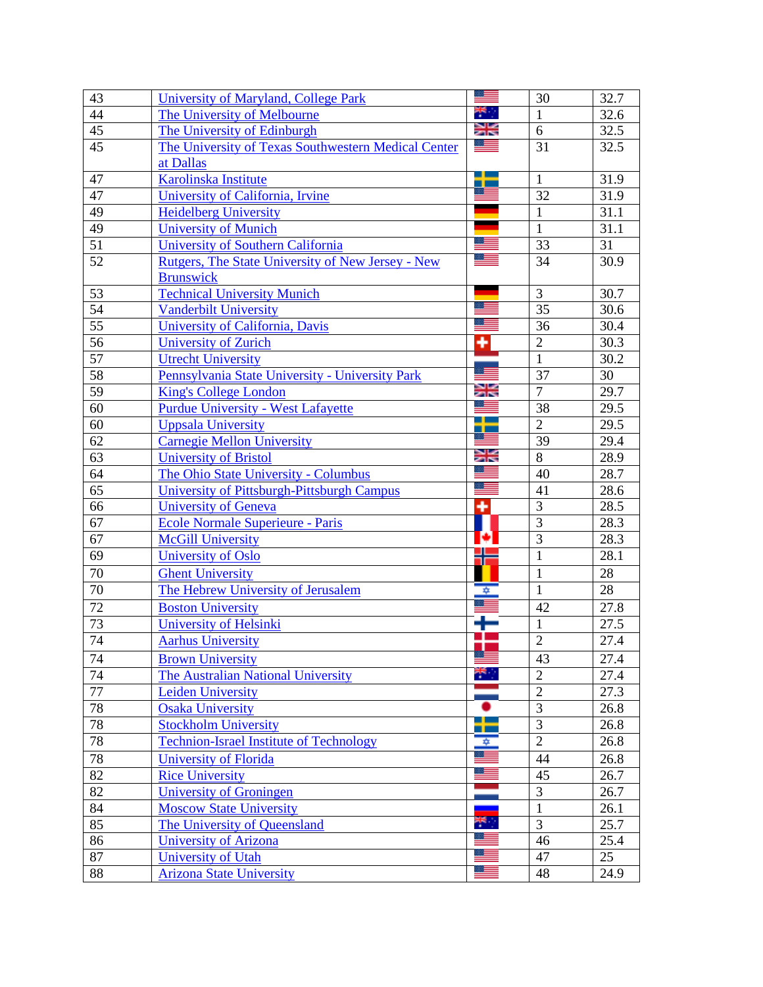| 43 | University of Maryland, College Park                |    | 30              | 32.7 |
|----|-----------------------------------------------------|----|-----------------|------|
| 44 | The University of Melbourne                         |    | $\mathbf{1}$    | 32.6 |
| 45 | The University of Edinburgh                         | Ж  | 6               | 32.5 |
| 45 | The University of Texas Southwestern Medical Center |    | $\overline{31}$ | 32.5 |
|    | at Dallas                                           |    |                 |      |
| 47 | Karolinska Institute                                |    | $\mathbf{1}$    | 31.9 |
| 47 | University of California, Irvine                    |    | $\overline{32}$ | 31.9 |
| 49 | <b>Heidelberg University</b>                        |    | $\mathbf{1}$    | 31.1 |
| 49 | <b>University of Munich</b>                         |    | 1               | 31.1 |
| 51 | University of Southern California                   |    | 33              | 31   |
| 52 | Rutgers, The State University of New Jersey - New   |    | 34              | 30.9 |
|    | <b>Brunswick</b>                                    |    |                 |      |
| 53 | <b>Technical University Munich</b>                  |    | 3               | 30.7 |
| 54 | <b>Vanderbilt University</b>                        |    | 35              | 30.6 |
| 55 | University of California, Davis                     |    | 36              | 30.4 |
| 56 | <b>University of Zurich</b>                         | ٠  | $\overline{2}$  | 30.3 |
| 57 | <b>Utrecht University</b>                           |    | $\mathbf{1}$    | 30.2 |
| 58 | Pennsylvania State University - University Park     |    | 37              | 30   |
| 59 | <b>King's College London</b>                        | Ж  | $\overline{7}$  | 29.7 |
| 60 | <b>Purdue University - West Lafayette</b>           |    | 38              | 29.5 |
| 60 | <b>Uppsala University</b>                           |    | $\overline{2}$  | 29.5 |
| 62 | <b>Carnegie Mellon University</b>                   |    | 39              | 29.4 |
| 63 | <b>University of Bristol</b>                        | Ж  | 8               | 28.9 |
| 64 | The Ohio State University - Columbus                |    | 40              | 28.7 |
| 65 | <b>University of Pittsburgh-Pittsburgh Campus</b>   |    | 41              | 28.6 |
| 66 | <b>University of Geneva</b>                         | ٠  | 3               | 28.5 |
| 67 | <b>Ecole Normale Superieure - Paris</b>             |    | $\overline{3}$  | 28.3 |
| 67 | <b>McGill University</b>                            | ю  | $\overline{3}$  | 28.3 |
| 69 | <b>University of Oslo</b>                           |    | $\mathbf{1}$    | 28.1 |
| 70 | <b>Ghent University</b>                             |    | $\mathbf{1}$    | 28   |
| 70 | The Hebrew University of Jerusalem                  | ⊅  | $\mathbf{1}$    | 28   |
| 72 | <b>Boston University</b>                            |    | 42              | 27.8 |
| 73 | University of Helsinki                              |    | 1               | 27.5 |
| 74 | <b>Aarhus University</b>                            |    | $\overline{2}$  | 27.4 |
| 74 | <b>Brown University</b>                             |    | 43              | 27.4 |
| 74 | The Australian National University                  | ٣. | $\overline{2}$  | 27.4 |
| 77 | <b>Leiden University</b>                            |    | $\overline{2}$  | 27.3 |
| 78 | <b>Osaka University</b>                             |    | 3               | 26.8 |
| 78 | <b>Stockholm University</b>                         |    | 3               | 26.8 |
| 78 | <b>Technion-Israel Institute of Technology</b>      | ✿  | $\overline{2}$  | 26.8 |
| 78 | <b>University of Florida</b>                        |    | 44              | 26.8 |
| 82 | <b>Rice University</b>                              |    | 45              | 26.7 |
| 82 | <b>University of Groningen</b>                      |    | 3               | 26.7 |
| 84 | <b>Moscow State University</b>                      |    | $\mathbf{1}$    | 26.1 |
| 85 | The University of Queensland                        |    | $\overline{3}$  | 25.7 |
| 86 | University of Arizona                               |    | 46              | 25.4 |
| 87 | <b>University of Utah</b>                           |    | 47              | 25   |
| 88 | <b>Arizona State University</b>                     |    | 48              | 24.9 |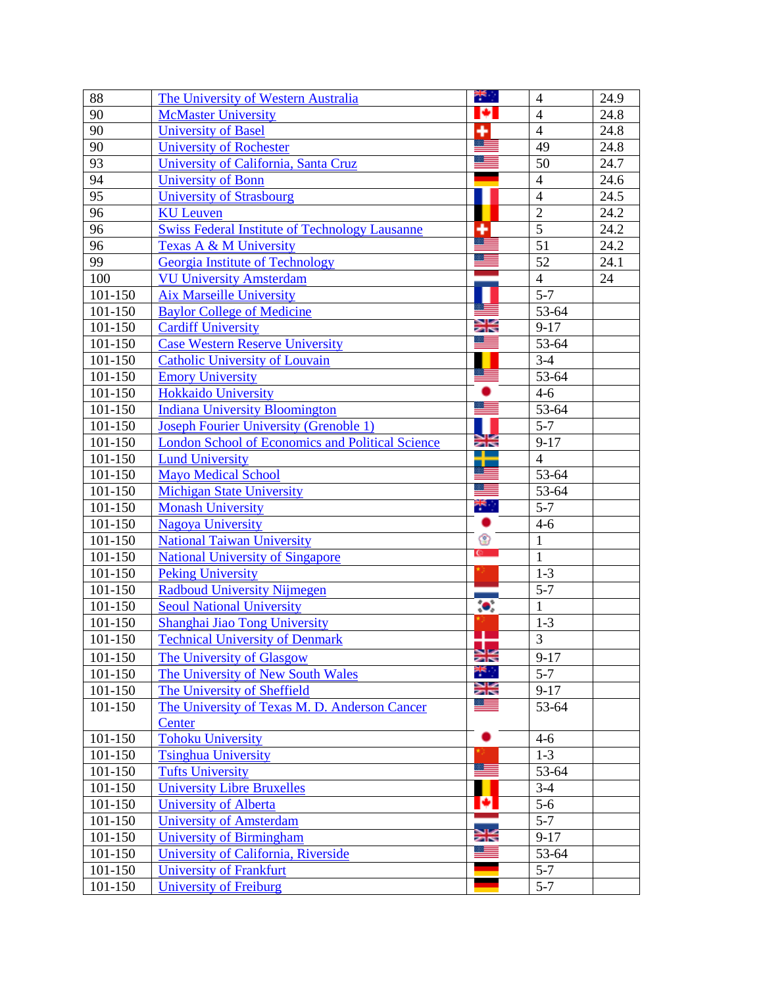| 88                 | The University of Western Australia                     | ₩.,       | $\overline{4}$            | 24.9 |
|--------------------|---------------------------------------------------------|-----------|---------------------------|------|
| 90                 | <b>McMaster University</b>                              | ы         | $\overline{4}$            | 24.8 |
| 90                 | <b>University of Basel</b>                              | ٠         | $\overline{4}$            | 24.8 |
| 90                 | <b>University of Rochester</b>                          | æ         | 49                        | 24.8 |
| 93                 | University of California, Santa Cruz                    |           | 50                        | 24.7 |
| 94                 | <b>University of Bonn</b>                               |           | $\overline{4}$            | 24.6 |
| $\overline{95}$    | <b>University of Strasbourg</b>                         |           | $\overline{4}$            | 24.5 |
| 96                 | <b>KU</b> Leuven                                        |           | $\overline{2}$            | 24.2 |
| 96                 | <b>Swiss Federal Institute of Technology Lausanne</b>   | ٠<br>≋≡   | $\overline{5}$            | 24.2 |
| 96                 | Texas A & M University                                  | æ         | $\overline{51}$           | 24.2 |
| 99                 | <b>Georgia Institute of Technology</b>                  |           | 52                        | 24.1 |
| 100                | <b>VU University Amsterdam</b>                          |           | $\overline{4}$            | 24   |
| 101-150            | <b>Aix Marseille University</b>                         |           | $5 - 7$                   |      |
| 101-150            | <b>Baylor College of Medicine</b>                       |           | $\overline{53-64}$        |      |
| 101-150            | <b>Cardiff University</b>                               | ≍≍        | $9 - 17$                  |      |
| 101-150            | <b>Case Western Reserve University</b>                  |           | 53-64                     |      |
| 101-150            | <b>Catholic University of Louvain</b>                   |           | $3-4$                     |      |
| 101-150            | <b>Emory University</b>                                 |           | 53-64                     |      |
| 101-150            | <b>Hokkaido University</b>                              |           | $4 - 6$                   |      |
| 101-150            | <b>Indiana University Bloomington</b>                   |           | 53-64                     |      |
| 101-150            | Joseph Fourier University (Grenoble 1)                  |           | $5 - 7$                   |      |
| 101-150            | <b>London School of Economics and Political Science</b> | ≱≼<br>J.  | $9-17$                    |      |
| 101-150            | <b>Lund University</b>                                  |           | $\overline{4}$            |      |
| 101-150            | <b>Mayo Medical School</b>                              | ▝▆        | 53-64                     |      |
| 101-150            | <b>Michigan State University</b>                        |           | 53-64                     |      |
| 101-150            | <b>Monash University</b>                                | ÷,<br>٠   | $5 - 7$                   |      |
| 101-150            | <b>Nagova University</b>                                |           | $4 - 6$                   |      |
| 101-150            | <b>National Taiwan University</b>                       | ❀<br>c.   | $\mathbf{1}$              |      |
| 101-150            | <b>National University of Singapore</b>                 |           | $\mathbf{1}$              |      |
| 101-150            | <b>Peking University</b>                                |           | $1 - 3$                   |      |
| 101-150            | <b>Radboud University Nijmegen</b>                      |           | $5 - 7$<br>$\mathbf{1}$   |      |
| 101-150            | <b>Seoul National University</b>                        | $\bullet$ |                           |      |
| 101-150<br>101-150 | Shanghai Jiao Tong University                           |           | $1 - 3$<br>$\overline{3}$ |      |
|                    | <b>Technical University of Denmark</b>                  | т         |                           |      |
| 101-150            | The University of Glasgow                               | ≽≍<br>÷.  | $9 - 17$                  |      |
| 101-150            | The University of New South Wales                       | Ж         | $5 - 7$                   |      |
| 101-150            | The University of Sheffield                             |           | $9 - 17$                  |      |
| 101-150            | The University of Texas M. D. Anderson Cancer           |           | 53-64                     |      |
|                    | Center<br><b>Tohoku University</b>                      |           |                           |      |
| 101-150<br>101-150 |                                                         |           | $4 - 6$<br>$1-3$          |      |
| 101-150            | <b>Tsinghua University</b><br><b>Tufts University</b>   |           | 53-64                     |      |
| 101-150            | <b>University Libre Bruxelles</b>                       |           | $3-4$                     |      |
| 101-150            | University of Alberta                                   | ø         | $5-6$                     |      |
| 101-150            | <b>University of Amsterdam</b>                          |           | $5 - 7$                   |      |
| 101-150            | <b>University of Birmingham</b>                         | Ж         | $9 - 17$                  |      |
| 101-150            | University of California, Riverside                     |           | 53-64                     |      |
| 101-150            | <b>University of Frankfurt</b>                          |           | $5 - 7$                   |      |
| 101-150            | <b>University of Freiburg</b>                           |           | $5 - 7$                   |      |
|                    |                                                         |           |                           |      |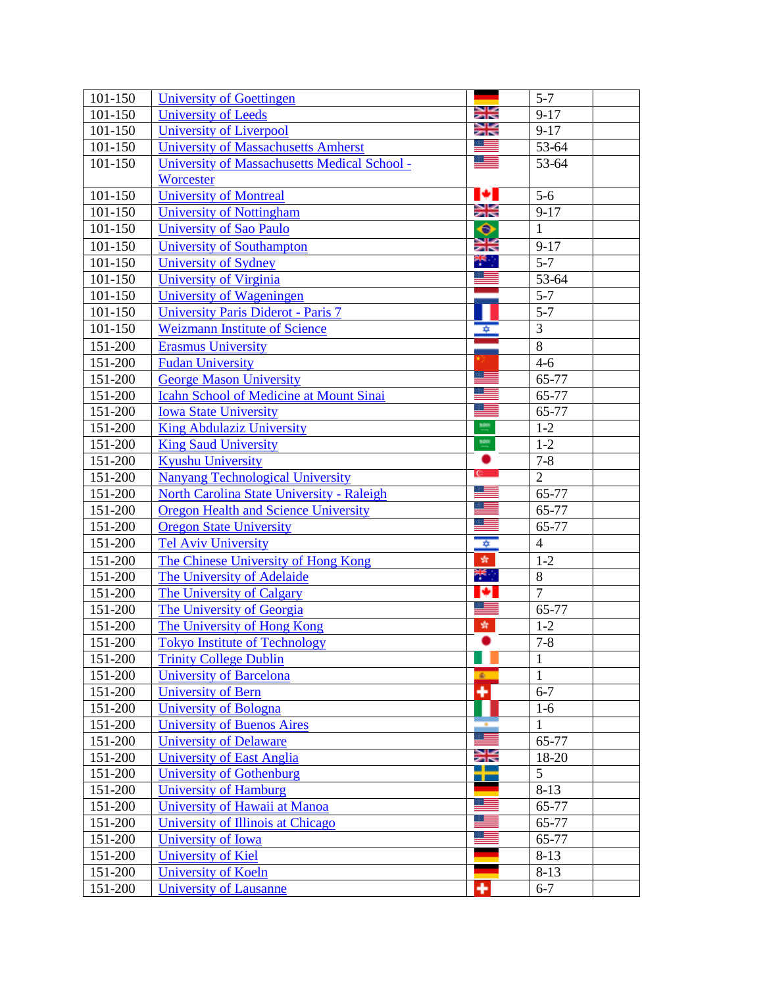| 101-150                | University of Goettingen                       |                      | $5 - 7$        |
|------------------------|------------------------------------------------|----------------------|----------------|
| 101-150                | <b>University of Leeds</b>                     | Ж                    | $9 - 17$       |
| 101-150                | <b>University of Liverpool</b>                 | Ж                    | $9 - 17$       |
| 101-150                | <b>University of Massachusetts Amherst</b>     | كا                   | 53-64          |
| 101-150                | University of Massachusetts Medical School -   | 88                   | 53-64          |
|                        | Worcester                                      |                      |                |
| 101-150                | <b>University of Montreal</b>                  | ю                    | $5-6$          |
| 101-150                | <b>University of Nottingham</b>                | Ж                    | $9 - 17$       |
| 101-150                | University of Sao Paulo                        | ◆                    | $\mathbf{1}$   |
| 101-150                | <b>University of Southampton</b>               | $rac{1}{2}$          | $9 - 17$       |
| 101-150                | University of Sydney                           | ي طا <b>م</b><br>ا   | $5 - 7$        |
| 101-150                | <b>University of Virginia</b>                  | ≡                    | 53-64          |
| 101-150                | University of Wageningen                       |                      | $5 - 7$        |
| 101-150                | University Paris Diderot - Paris 7             |                      | $5 - 7$        |
| 101-150                | <b>Weizmann Institute of Science</b>           | ∗                    | $\overline{3}$ |
| 151-200                | <b>Erasmus University</b>                      |                      | $\overline{8}$ |
| 151-200                | <b>Fudan University</b>                        |                      | $4 - 6$        |
| 151-200                | <b>George Mason University</b>                 | ≔                    | 65-77          |
| 151-200                | <b>Icahn School of Medicine at Mount Sinai</b> |                      | 65-77          |
| 151-200                | <b>Iowa State University</b>                   | 89                   | 65-77          |
| 151-200                | <b>King Abdulaziz University</b>               | 198                  | $1-2$          |
| 151-200                | <b>King Saud University</b>                    | $\frac{100}{\pi}$    | $1-2$          |
| 151-200                | <b>Kyushu University</b>                       |                      | $7 - 8$        |
| $\overline{1}51 - 200$ | <b>Nanyang Technological University</b>        | $\mathbb{C}$         | $\overline{2}$ |
| $\overline{151}$ -200  | North Carolina State University - Raleigh      |                      | 65-77          |
| 151-200                | <b>Oregon Health and Science University</b>    |                      | 65-77          |
| 151-200                | <b>Oregon State University</b>                 |                      | 65-77          |
| 151-200                | <b>Tel Aviv University</b>                     | $\overline{\bullet}$ | $\overline{4}$ |
| 151-200                | The Chinese University of Hong Kong            | 牵                    | $1-2$          |
| 151-200                | The University of Adelaide                     | ₩.,                  | 8              |
| 151-200                | <b>The University of Calgary</b>               | ø                    | $\overline{7}$ |
| 151-200                | The University of Georgia                      | <u> =</u>            | 65-77          |
| $\overline{1}51 - 200$ | The University of Hong Kong                    | 蠹                    | $1 - 2$        |
| 151-200                | <b>Tokyo Institute of Technology</b>           | ٠                    | $7 - 8$        |
| 151-200                | <b>Trinity College Dublin</b>                  |                      | $\mathbf{1}$   |
| 151-200                | <b>University of Barcelona</b>                 | $\mathbf{R}$         | $\mathbf{1}$   |
| 151-200                | University of Bern                             | ۰                    | $6 - 7$        |
| 151-200                | <b>University of Bologna</b>                   |                      | $1-6$          |
| 151-200                | <b>University of Buenos Aires</b>              | $\equiv$             | $\mathbf{1}$   |
| 151-200                | <b>University of Delaware</b>                  |                      | 65-77          |
| 151-200                | University of East Anglia                      | Ж<br>۳.              | 18-20          |
| 151-200                | University of Gothenburg                       | т                    | 5              |
| 151-200                | <b>University of Hamburg</b>                   | $\equiv$             | $8-13$         |
| 151-200                | University of Hawaii at Manoa                  | - 22                 | 65-77          |
| 151-200                | University of Illinois at Chicago              |                      | 65-77          |
| 151-200                | University of Iowa                             |                      | 65-77          |
| 151-200                | <b>University of Kiel</b>                      |                      | $8-13$         |
| 151-200                | University of Koeln                            |                      | $8 - 13$       |
| 151-200                | <b>University of Lausanne</b>                  | ٠                    | $6 - 7$        |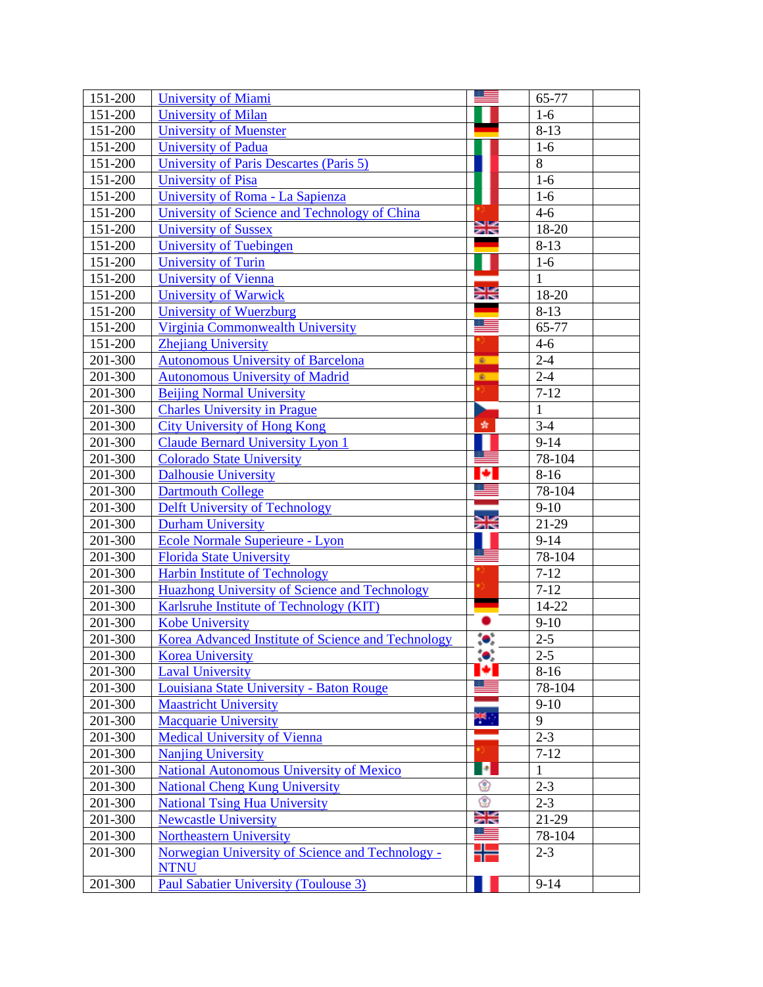| 151-200                | <b>University of Miami</b>                                                                      |           | 65-77              |
|------------------------|-------------------------------------------------------------------------------------------------|-----------|--------------------|
| 151-200                | <b>University of Milan</b>                                                                      |           | $1-6$              |
| 151-200                | <b>University of Muenster</b>                                                                   |           | $8 - 13$           |
| 151-200                | <b>University of Padua</b>                                                                      |           | $1-6$              |
| 151-200                | University of Paris Descartes (Paris 5)                                                         |           | 8                  |
| 151-200                | <b>University of Pisa</b>                                                                       |           | $1-6$              |
| 151-200                | University of Roma - La Sapienza                                                                |           | $1-6$              |
| 151-200                | University of Science and Technology of China                                                   |           | $4 - 6$            |
| 151-200                | <b>University of Sussex</b>                                                                     | Ж         | 18-20              |
| 151-200                | University of Tuebingen                                                                         |           | $8-13$             |
| 151-200                | University of Turin                                                                             |           | $1-6$              |
| 151-200                | <b>University of Vienna</b>                                                                     |           | $\mathbf{1}$       |
| 151-200                | <b>University of Warwick</b>                                                                    | Ж         | 18-20              |
| 151-200                | University of Wuerzburg                                                                         | <b>FR</b> | $8-13$             |
| $\overline{1}51 - 200$ | Virginia Commonwealth University                                                                |           | 65-77              |
| 151-200                | <b>Zhejiang University</b>                                                                      |           | $4-6$              |
| 201-300                | <b>Autonomous University of Barcelona</b>                                                       | 案         | $2 - 4$            |
| 201-300                | <b>Autonomous University of Madrid</b>                                                          | 案         | $2 - 4$            |
| 201-300                | <b>Beijing Normal University</b>                                                                |           | $7 - 12$           |
| 201-300                | <b>Charles University in Prague</b>                                                             |           | $\mathbf{1}$       |
| 201-300                | <b>City University of Hong Kong</b>                                                             | 齿         | $3-4$              |
| 201-300                | <b>Claude Bernard University Lyon 1</b>                                                         |           | $9 - 14$           |
| 201-300                | <b>Colorado State University</b>                                                                |           | 78-104             |
| 201-300                | <b>Dalhousie University</b>                                                                     |           | $8 - 16$           |
| 201-300                | <b>Dartmouth College</b>                                                                        |           | 78-104             |
| 201-300                | <b>Delft University of Technology</b>                                                           | Ж         | $9-10$             |
| 201-300                | <b>Durham University</b>                                                                        |           | 21-29              |
| 201-300                | Ecole Normale Superieure - Lyon                                                                 |           | $9 - 14$           |
| 201-300                | <b>Florida State University</b>                                                                 |           | 78-104<br>$7 - 12$ |
| 201-300<br>201-300     | Harbin Institute of Technology                                                                  |           | $7 - 12$           |
| 201-300                | <b>Huazhong University of Science and Technology</b><br>Karlsruhe Institute of Technology (KIT) |           | 14-22              |
| 201-300                | <b>Kobe University</b>                                                                          |           | $9-10$             |
| 201-300                | Korea Advanced Institute of Science and Technology                                              |           | $2 - 5$            |
| 201-300                | <b>Korea University</b>                                                                         | ;●;       | $2 - 5$            |
| 201-300                | <b>Laval University</b>                                                                         |           | $8-16$             |
| 201-300                | Louisiana State University - Baton Rouge                                                        |           | 78-104             |
| 201-300                | <b>Maastricht University</b>                                                                    |           | $9-10$             |
| 201-300                | Macquarie University                                                                            | ₩,        | 9                  |
| 201-300                | <b>Medical University of Vienna</b>                                                             |           | $2 - 3$            |
| 201-300                | <b>Nanjing University</b>                                                                       |           | $7 - 12$           |
| 201-300                | <b>National Autonomous University of Mexico</b>                                                 | <b>P</b>  | 1                  |
| 201-300                | <b>National Cheng Kung University</b>                                                           | ♔         | $2 - 3$            |
| 201-300                | <b>National Tsing Hua University</b>                                                            | ❀         | $2 - 3$            |
| 201-300                | <b>Newcastle University</b>                                                                     | Ж         | 21-29              |
| 201-300                | <b>Northeastern University</b>                                                                  |           | 78-104             |
| 201-300                | Norwegian University of Science and Technology -<br><b>NTNU</b>                                 |           | $2 - 3$            |
| 201-300                | <b>Paul Sabatier University (Toulouse 3)</b>                                                    |           | $9 - 14$           |
|                        |                                                                                                 |           |                    |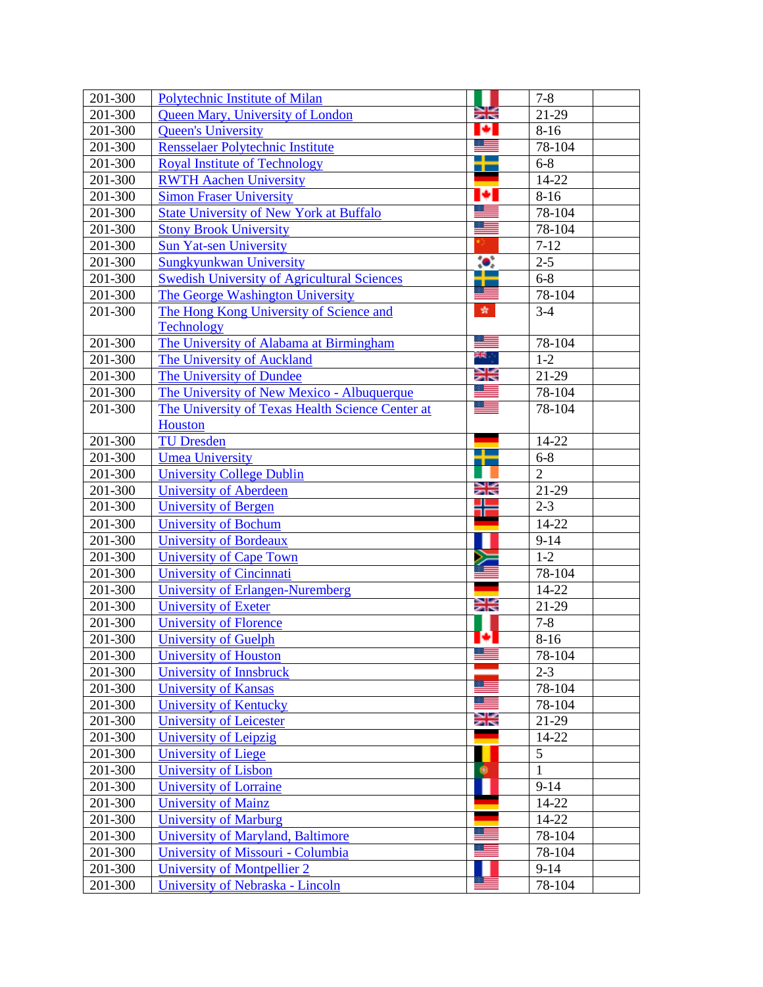| 201-300            | <b>Polytechnic Institute of Milan</b>                        |                        | $7 - 8$        |
|--------------------|--------------------------------------------------------------|------------------------|----------------|
| 201-300            | <b>Queen Mary, University of London</b>                      | ≍≍                     | 21-29          |
| 201-300            | <b>Queen's University</b>                                    | Ю                      | $8-16$         |
| 201-300            | Rensselaer Polytechnic Institute                             |                        | $78-104$       |
| 201-300            | <b>Royal Institute of Technology</b>                         | a <mark>a</mark><br>п. | $6 - 8$        |
| 201-300            | <b>RWTH Aachen University</b>                                |                        | 14-22          |
| 201-300            | <b>Simon Fraser University</b>                               | ø                      | $8 - 16$       |
| 201-300            | <b>State University of New York at Buffalo</b>               |                        | 78-104         |
| 201-300            | <b>Stony Brook University</b>                                | ≋≡                     | 78-104         |
| 201-300            | <b>Sun Yat-sen University</b>                                |                        | $7 - 12$       |
| 201-300            | <b>Sungkyunkwan University</b>                               | $\bullet$              | $2 - 5$        |
| 201-300            | <b>Swedish University of Agricultural Sciences</b>           | -1                     | $6 - 8$        |
| 201-300            | The George Washington University                             |                        | 78-104         |
| 201-300            | The Hong Kong University of Science and                      | 蠹                      | $3-4$          |
|                    | <b>Technology</b>                                            |                        |                |
| 201-300            | The University of Alabama at Birmingham                      | $\equiv$               | 78-104         |
| 201-300            | <b>The University of Auckland</b>                            | ≭€्                    | $1-2$          |
| 201-300            | The University of Dundee                                     | Ж                      | 21-29          |
| 201-300            | The University of New Mexico - Albuquerque                   | <u>a se</u>            | 78-104         |
| 201-300            | The University of Texas Health Science Center at             |                        | 78-104         |
|                    | Houston                                                      |                        |                |
| 201-300            | <b>TU Dresden</b>                                            |                        | 14-22          |
| 201-300            | <b>Umea University</b>                                       |                        | $6 - 8$        |
| 201-300            | <b>University College Dublin</b>                             |                        | $\overline{2}$ |
| 201-300            | <b>University of Aberdeen</b>                                | Ж                      | 21-29          |
| 201-300            | <b>University of Bergen</b>                                  |                        | $2 - 3$        |
| 201-300            | <b>University of Bochum</b>                                  |                        | 14-22          |
| 201-300            | <b>University of Bordeaux</b>                                |                        | $9 - 14$       |
| 201-300            | University of Cape Town                                      |                        | $1 - 2$        |
| 201-300            | <b>University of Cincinnati</b>                              |                        | 78-104         |
| 201-300<br>201-300 | University of Erlangen-Nuremberg                             | Ж                      | 14-22<br>21-29 |
| 201-300            | <b>University of Exeter</b><br><b>University of Florence</b> |                        | $7 - 8$        |
| 201-300            | <b>University of Guelph</b>                                  |                        | $8 - 16$       |
| 201-300            | <b>University of Houston</b>                                 |                        | 78-104         |
| 201-300            | University of Innsbruck                                      |                        | $2 - 3$        |
| 201-300            | <b>University of Kansas</b>                                  |                        | 78-104         |
| 201-300            | <b>University of Kentucky</b>                                | ≔                      | 78-104         |
| 201-300            | <b>University of Leicester</b>                               | Ж                      | 21-29          |
| 201-300            | <b>University of Leipzig</b>                                 |                        | 14-22          |
| 201-300            | University of Liege                                          |                        | 5              |
| 201-300            | <b>University of Lisbon</b>                                  | ۰                      | $\mathbf{1}$   |
| 201-300            | <b>University of Lorraine</b>                                |                        | $9 - 14$       |
| 201-300            | <b>University of Mainz</b>                                   |                        | 14-22          |
| 201-300            | <b>University of Marburg</b>                                 |                        | 14-22          |
| 201-300            | <b>University of Maryland, Baltimore</b>                     |                        | 78-104         |
| 201-300            | University of Missouri - Columbia                            |                        | 78-104         |
| 201-300            | University of Montpellier 2                                  |                        | $9 - 14$       |
| 201-300            | University of Nebraska - Lincoln                             |                        | 78-104         |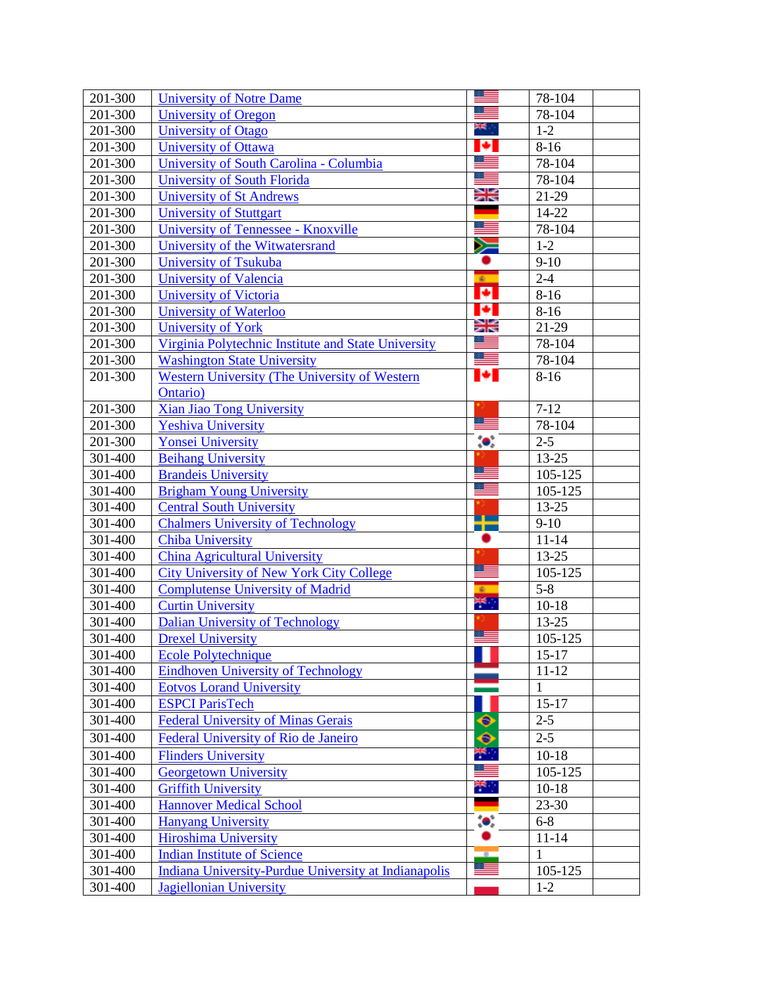| 201-300 | <b>University of Notre Dame</b>                      |                | 78-104       |  |
|---------|------------------------------------------------------|----------------|--------------|--|
| 201-300 | <b>University of Oregon</b>                          |                | 78-104       |  |
| 201-300 | University of Otago                                  | ≭€्            | $1-2$        |  |
| 201-300 | <b>University of Ottawa</b>                          | ø              | $8 - 16$     |  |
| 201-300 | University of South Carolina - Columbia              |                | 78-104       |  |
| 201-300 | <b>University of South Florida</b>                   |                | 78-104       |  |
| 201-300 | <b>University of St Andrews</b>                      | Ж              | 21-29        |  |
| 201-300 | <b>University of Stuttgart</b>                       |                | 14-22        |  |
| 201-300 | University of Tennessee - Knoxville                  | ≔              | 78-104       |  |
| 201-300 | University of the Witwatersrand                      | Ň              | $1-2$        |  |
| 201-300 | <b>University of Tsukuba</b>                         |                | $9-10$       |  |
| 201-300 | <b>University of Valencia</b>                        | $\mathbf{g}_i$ | $2 - 4$      |  |
| 201-300 | <b>University of Victoria</b>                        | ø              | $8 - 16$     |  |
| 201-300 | <b>University of Waterloo</b>                        | ю              | $8-16$       |  |
| 201-300 | <b>University of York</b>                            | Ж              | 21-29        |  |
| 201-300 | Virginia Polytechnic Institute and State University  | <u>e bo</u>    | 78-104       |  |
| 201-300 | <b>Washington State University</b>                   |                | 78-104       |  |
| 201-300 | Western University (The University of Western        | ы              | $8 - 16$     |  |
|         | Ontario)                                             |                |              |  |
| 201-300 | Xian Jiao Tong University                            |                | $7 - 12$     |  |
| 201-300 | <b>Yeshiva University</b>                            | Æ              | 78-104       |  |
| 201-300 | <b>Yonsei University</b>                             | $\bullet$      | $2 - 5$      |  |
| 301-400 | <b>Beihang University</b>                            |                | 13-25        |  |
| 301-400 | <b>Brandeis University</b>                           | - 11           | 105-125      |  |
| 301-400 | <b>Brigham Young University</b>                      |                | 105-125      |  |
| 301-400 | <b>Central South University</b>                      | a po           | 13-25        |  |
| 301-400 | <b>Chalmers University of Technology</b>             |                | $9-10$       |  |
| 301-400 | <b>Chiba University</b>                              |                | $11 - 14$    |  |
| 301-400 | <b>China Agricultural University</b>                 |                | $13 - 25$    |  |
| 301-400 | <b>City University of New York City College</b>      | <u> =</u>      | 105-125      |  |
| 301-400 | <b>Complutense University of Madrid</b>              | $\bullet$      | $5 - 8$      |  |
| 301-400 | <b>Curtin University</b>                             | ž,             | $10-18$      |  |
| 301-400 | <b>Dalian University of Technology</b>               | Œ              | 13-25        |  |
| 301-400 | <b>Drexel University</b>                             |                | 105-125      |  |
| 301-400 | <b>Ecole Polytechnique</b>                           | ı.             | $15 - 17$    |  |
| 301-400 | <b>Eindhoven University of Technology</b>            |                | $11 - 12$    |  |
| 301-400 | <b>Eotvos Lorand University</b>                      |                | $\mathbf{1}$ |  |
| 301-400 | <b>ESPCI ParisTech</b>                               |                | $15 - 17$    |  |
| 301-400 | <b>Federal University of Minas Gerais</b>            | ♦              | $2 - 5$      |  |
| 301-400 | Federal University of Rio de Janeiro                 | ◉              | $2 - 5$      |  |
| 301-400 | <b>Flinders University</b>                           | 뿌.             | $10-18$      |  |
| 301-400 | <b>Georgetown University</b>                         | ≋≡             | 105-125      |  |
| 301-400 | <b>Griffith University</b>                           | ₩,             | $10-18$      |  |
| 301-400 | <b>Hannover Medical School</b>                       |                | 23-30        |  |
| 301-400 | <b>Hanyang University</b>                            | $\bullet$      | $6 - 8$      |  |
| 301-400 | <b>Hiroshima University</b>                          |                | $11 - 14$    |  |
| 301-400 | <b>Indian Institute of Science</b>                   | ×              | $\mathbf{1}$ |  |
| 301-400 | Indiana University-Purdue University at Indianapolis |                | 105-125      |  |
| 301-400 | <b>Jagiellonian University</b>                       |                | $1-2$        |  |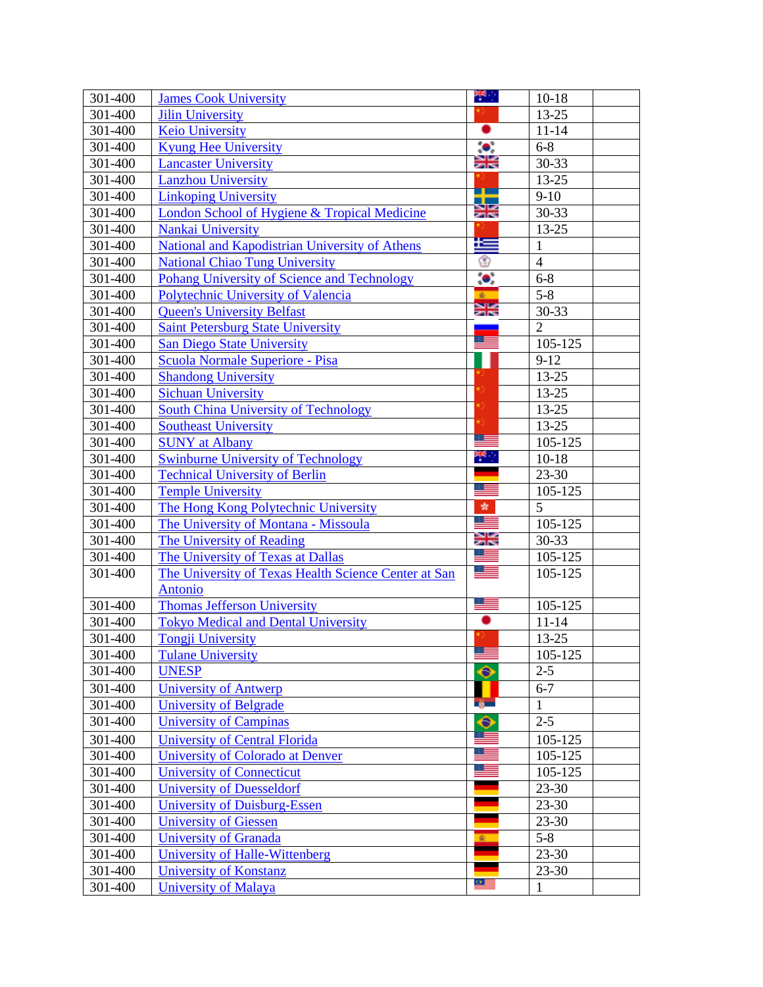| 301-400            | <b>James Cook University</b>                                                     | ₩.,           | $10-18$                |  |
|--------------------|----------------------------------------------------------------------------------|---------------|------------------------|--|
| 301-400            | <b>Jilin University</b>                                                          |               | 13-25                  |  |
| 301-400            | <b>Keio University</b>                                                           | ٠             | $11 - 14$              |  |
| 301-400            | <b>Kyung Hee University</b>                                                      | $\bullet$     | $6 - 8$                |  |
| 301-400            | <b>Lancaster University</b>                                                      | Ж             | 30-33                  |  |
| 301-400            | <b>Lanzhou University</b>                                                        |               | 13-25                  |  |
| 301-400            | <b>Linkoping University</b>                                                      | ┲             | $9-10$                 |  |
| 301-400            | London School of Hygiene & Tropical Medicine                                     | )<br>기년       | 30-33                  |  |
| 301-400            | Nankai University                                                                |               | $13 - 25$              |  |
| 301-400            | <b>National and Kapodistrian University of Athens</b>                            | £             | $\mathbf{1}$           |  |
| 301-400            | <b>National Chiao Tung University</b>                                            | ☺             | $\overline{4}$         |  |
| 301-400            | <b>Pohang University of Science and Technology</b>                               | $\bullet$     | $6 - 8$                |  |
| 301-400            | Polytechnic University of Valencia                                               | ÷.            | $5 - 8$                |  |
| 301-400            | <b>Queen's University Belfast</b>                                                | Ж             | 30-33                  |  |
| 301-400            | <b>Saint Petersburg State University</b>                                         |               | $\overline{2}$         |  |
| 301-400            | <b>San Diego State University</b>                                                | ≋≡            | 105-125                |  |
| 301-400            | Scuola Normale Superiore - Pisa                                                  |               | $9-12$                 |  |
| 301-400            | <b>Shandong University</b>                                                       |               | 13-25                  |  |
| 301-400            | <b>Sichuan University</b>                                                        |               | $13 - 25$              |  |
| 301-400            | South China University of Technology                                             |               | 13-25                  |  |
| 301-400            | <b>Southeast University</b>                                                      |               | 13-25                  |  |
| 301-400            | <b>SUNY</b> at Albany                                                            |               | 105-125                |  |
| 301-400            | <b>Swinburne University of Technology</b>                                        | ∺≒ ∶          | $10 - 18$              |  |
| 301-400            | <b>Technical University of Berlin</b>                                            | - 11          | 23-30                  |  |
| 301-400            | <b>Temple University</b>                                                         |               | 105-125                |  |
| 301-400            | The Hong Kong Polytechnic University                                             | 蠹<br>≋≡       | 5                      |  |
| 301-400            | The University of Montana - Missoula                                             |               | 105-125                |  |
| 301-400            | <b>The University of Reading</b>                                                 | Ж             | 30-33                  |  |
| 301-400            | The University of Texas at Dallas                                                |               | 105-125                |  |
| 301-400            | The University of Texas Health Science Center at San                             | <u> a l</u>   | 105-125                |  |
| 301-400            | <b>Antonio</b>                                                                   | 33            |                        |  |
| 301-400            | <b>Thomas Jefferson University</b><br><b>Tokyo Medical and Dental University</b> |               | 105-125<br>$11 - 14$   |  |
| 301-400            | <b>Tongji University</b>                                                         |               | 13-25                  |  |
| 301-400            |                                                                                  | <u>estern</u> |                        |  |
| 301-400            | <b>Tulane University</b><br><b>UNESP</b>                                         | ◆             | 105-125<br>$2 - 5$     |  |
| 301-400            |                                                                                  | П             | $6 - 7$                |  |
| 301-400            | <b>University of Antwerp</b><br>University of Belgrade                           | ng m          | $\mathbf{1}$           |  |
| 301-400            | <b>University of Campinas</b>                                                    | ●             | $2 - 5$                |  |
|                    |                                                                                  |               |                        |  |
| 301-400<br>301-400 | <b>University of Central Florida</b>                                             | æ             | 105-125<br>105-125     |  |
| 301-400            | University of Colorado at Denver                                                 |               |                        |  |
| 301-400            | <b>University of Connecticut</b><br><b>University of Duesseldorf</b>             |               | 105-125<br>23-30       |  |
|                    |                                                                                  |               |                        |  |
| 301-400<br>301-400 | <b>University of Duisburg-Essen</b>                                              |               | $23 - 30$<br>$23 - 30$ |  |
| 301-400            | <b>University of Giessen</b><br><b>University of Granada</b>                     | ¢.            | $5 - 8$                |  |
| 301-400            | University of Halle-Wittenberg                                                   |               | 23-30                  |  |
| 301-400            | University of Konstanz                                                           |               | $23 - 30$              |  |
| 301-400            | <b>University of Malaya</b>                                                      | $\bullet$     | $\mathbf{1}$           |  |
|                    |                                                                                  |               |                        |  |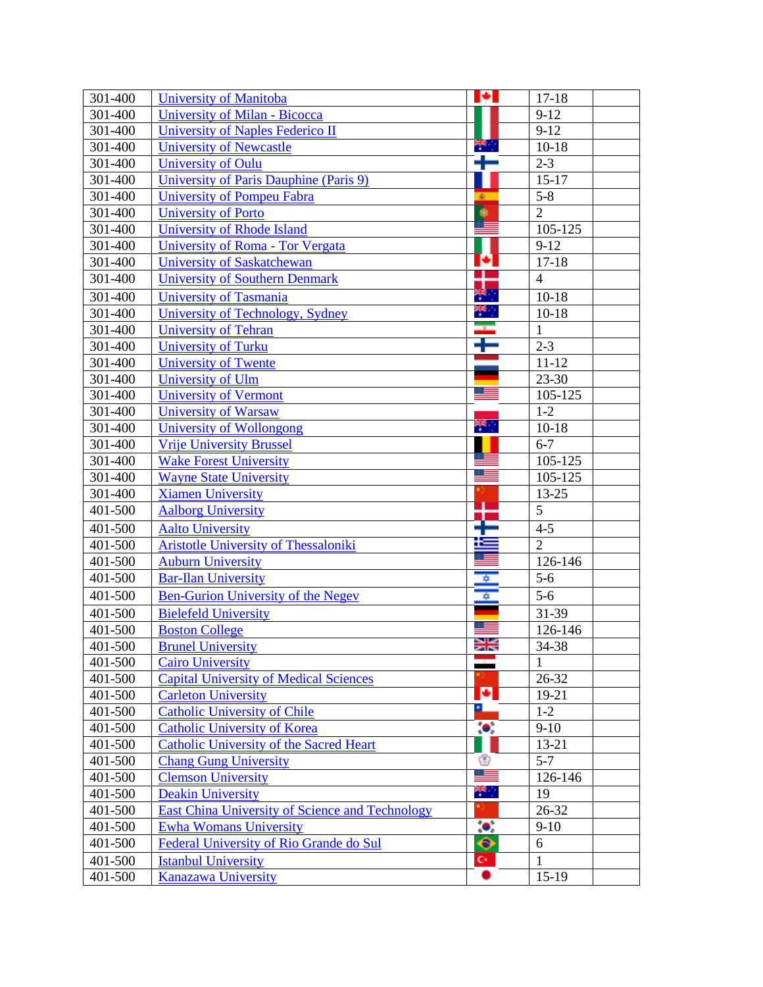| 301-400     | <b>University of Manitoba</b>                          | ĸ.                   | $17 - 18$      |
|-------------|--------------------------------------------------------|----------------------|----------------|
| 301-400     | <b>University of Milan - Bicocca</b>                   |                      | $9-12$         |
| 301-400     | University of Naples Federico II                       |                      | $9-12$         |
| 301-400     | <b>University of Newcastle</b>                         | ب <del>جاء</del>     | $10-18$        |
| 301-400     | <b>University of Oulu</b>                              | t                    | $2 - 3$        |
| 301-400     | University of Paris Dauphine (Paris 9)                 |                      | $15 - 17$      |
| 301-400     | <b>University of Pompeu Fabra</b>                      | 案。                   | $5 - 8$        |
| 301-400     | <b>University of Porto</b>                             | $\bullet$            | $\overline{2}$ |
| 301-400     | <b>University of Rhode Island</b>                      |                      | 105-125        |
| 301-400     | University of Roma - Tor Vergata                       |                      | $9-12$         |
| 301-400     | <b>University of Saskatchewan</b>                      | ø                    | $17 - 18$      |
| 301-400     | <b>University of Southern Denmark</b>                  | J                    | $\overline{4}$ |
| 301-400     | University of Tasmania                                 | <b>THE R</b>         | $10-18$        |
| 301-400     | University of Technology, Sydney                       | ak l                 | $10 - 18$      |
| 301-400     | <b>University of Tehran</b>                            | Ŧ                    | $\mathbf{1}$   |
| 301-400     | <b>University of Turku</b>                             |                      | $2 - 3$        |
| 301-400     | <b>University of Twente</b>                            |                      | $11 - 12$      |
| 301-400     | University of Ulm                                      |                      | $23 - 30$      |
| 301-400     | <b>University of Vermont</b>                           |                      | 105-125        |
| 301-400     | <b>University of Warsaw</b>                            |                      | $1-2$          |
| 301-400     | <b>University of Wollongong</b>                        | ÷,                   | $10 - 18$      |
| 301-400     | <b>Vrije University Brussel</b>                        |                      | $6 - 7$        |
| 301-400     | <b>Wake Forest University</b>                          |                      | 105-125        |
| 301-400     | <b>Wayne State University</b>                          |                      | 105-125        |
| 301-400     | <b>Xiamen University</b>                               |                      | 13-25          |
| 401-500     | <b>Aalborg University</b>                              | T                    | $\overline{5}$ |
| 401-500     | <b>Aalto University</b>                                |                      | $4 - 5$        |
| 401-500     | <b>Aristotle University of Thessaloniki</b>            |                      | $\overline{2}$ |
| 401-500     | <b>Auburn University</b>                               |                      | 126-146        |
| 401-500     | <b>Bar-Ilan University</b>                             |                      | $5-6$          |
| 401-500     | <b>Ben-Gurion University of the Negev</b>              | ⇒∥                   | $5-6$          |
| 401-500     | <b>Bielefeld University</b>                            |                      | 31-39          |
| 401-500     | <b>Boston College</b>                                  |                      | 126-146        |
| 401-500     | <b>Brunel University</b>                               | Ж                    | 34-38          |
| 401-500     | <b>Cairo University</b>                                |                      | $\mathbf{1}$   |
| 401-500     | <b>Capital University of Medical Sciences</b>          |                      | 26-32          |
| 401-500     | <b>Carleton University</b>                             | ø                    | 19-21          |
| 401-500     | <b>Catholic University of Chile</b>                    | ×.                   | $1-2$          |
| 401-500     | <b>Catholic University of Korea</b>                    | $\bullet$ .          | $9-10$         |
| 401-500     | <b>Catholic University of the Sacred Heart</b>         |                      | $13 - 21$      |
| 401-500     | <b>Chang Gung University</b>                           | ☺                    | $5 - 7$        |
| 401-500     | <b>Clemson University</b>                              | ÷                    | 126-146        |
| 401-500     | <b>Deakin University</b>                               | i<br>K               | 19             |
| 401-500     | <b>East China University of Science and Technology</b> |                      | 26-32          |
| 401-500     | <b>Ewha Womans University</b>                          | $\bullet$            | $9-10$         |
| 401-500     | Federal University of Rio Grande do Sul                | ◆                    | 6              |
| $401 - 500$ | <b>Istanbul University</b>                             | $\mathbf{C}^{\star}$ | 1              |
| 401-500     | <b>Kanazawa University</b>                             |                      | $15-19$        |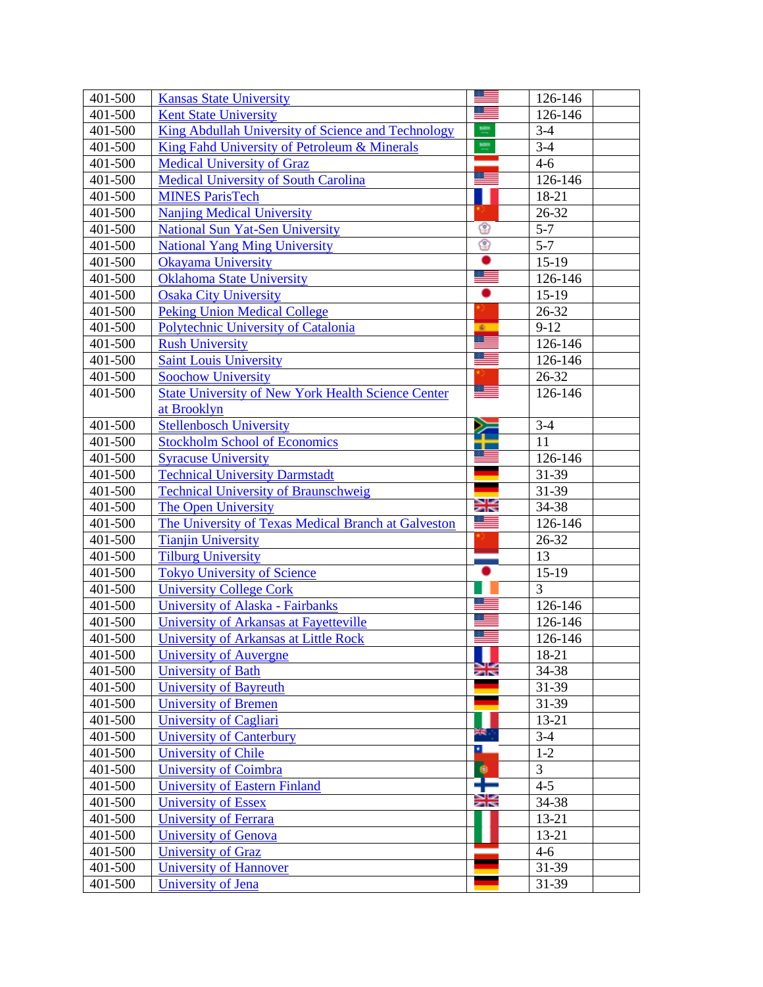| 401-500            | <b>Kansas State University</b>                                                    |                   | 126-146        |
|--------------------|-----------------------------------------------------------------------------------|-------------------|----------------|
| 401-500            | <b>Kent State University</b>                                                      |                   | 126-146        |
| 401-500            | King Abdullah University of Science and Technology                                | $\frac{108}{100}$ | $3-4$          |
| 401-500            | King Fahd University of Petroleum & Minerals                                      | 1931<br>--        | $3-4$          |
| 401-500            | <b>Medical University of Graz</b>                                                 |                   | $4 - 6$        |
| 401-500            | <b>Medical University of South Carolina</b>                                       | œ                 | 126-146        |
| 401-500            | <b>MINES ParisTech</b>                                                            |                   | 18-21          |
| 401-500            | <b>Nanjing Medical University</b>                                                 |                   | 26-32          |
| 401-500            | <b>National Sun Yat-Sen University</b>                                            | ☺                 | $5 - 7$        |
| 401-500            | <b>National Yang Ming University</b>                                              | ♔                 | $5 - 7$        |
| 401-500            | <b>Okayama University</b>                                                         |                   | $15-19$        |
| 401-500            | <b>Oklahoma State University</b>                                                  |                   | 126-146        |
| 401-500            | <b>Osaka City University</b>                                                      |                   | $15-19$        |
| 401-500            | <b>Peking Union Medical College</b>                                               |                   | 26-32          |
| 401-500            | Polytechnic University of Catalonia                                               | £.<br>ੋ≣          | $9-12$         |
| 401-500            | <b>Rush University</b>                                                            | M.                | 126-146        |
| 401-500            | <b>Saint Louis University</b>                                                     |                   | 126-146        |
| 401-500            | <b>Soochow University</b>                                                         | ≋≡                | 26-32          |
| 401-500            | <b>State University of New York Health Science Center</b>                         |                   | 126-146        |
|                    | at Brooklyn                                                                       |                   |                |
| 401-500            | <b>Stellenbosch University</b>                                                    |                   | $3-4$          |
| 401-500            | <b>Stockholm School of Economics</b>                                              |                   | 11             |
| 401-500            | <b>Syracuse University</b>                                                        |                   | 126-146        |
| 401-500<br>401-500 | <b>Technical University Darmstadt</b>                                             |                   | 31-39<br>31-39 |
| 401-500            | <b>Technical University of Braunschweig</b>                                       | Ж                 | 34-38          |
| 401-500            | <b>The Open University</b><br>The University of Texas Medical Branch at Galveston |                   | 126-146        |
| 401-500            | <b>Tianjin University</b>                                                         |                   | 26-32          |
| 401-500            | <b>Tilburg University</b>                                                         |                   | 13             |
| 401-500            | <b>Tokyo University of Science</b>                                                |                   | $15-19$        |
| 401-500            | <b>University College Cork</b>                                                    |                   | $\overline{3}$ |
| 401-500            | University of Alaska - Fairbanks                                                  |                   | 126-146        |
| 401-500            | University of Arkansas at Fayetteville                                            |                   | 126-146        |
| 401-500            | University of Arkansas at Little Rock                                             |                   | 126-146        |
| 401-500            | University of Auvergne                                                            |                   | 18-21          |
| 401-500            | University of Bath                                                                | $\geq$            | 34-38          |
| 401-500            | <b>University of Bayreuth</b>                                                     |                   | 31-39          |
| 401-500            | <b>University of Bremen</b>                                                       |                   | 31-39          |
| 401-500            | University of Cagliari                                                            |                   | 13-21          |
| 401-500            | <b>University of Canterbury</b>                                                   |                   | $3-4$          |
| 401-500            | <b>University of Chile</b>                                                        | ᄘ                 | $1 - 2$        |
| 401-500            | <b>University of Coimbra</b>                                                      | $\bullet$         | $\overline{3}$ |
| 401-500            | <b>University of Eastern Finland</b>                                              | Ŧ                 | $4 - 5$        |
| 401-500            | <b>University of Essex</b>                                                        | Ж                 | 34-38          |
| 401-500            | University of Ferrara                                                             |                   | 13-21          |
| 401-500            | University of Genova                                                              |                   | 13-21          |
| 401-500            | <b>University of Graz</b>                                                         |                   | $4 - 6$        |
| 401-500            | <b>University of Hannover</b>                                                     |                   | 31-39          |
| $401 - 500$        | University of Jena                                                                |                   | 31-39          |